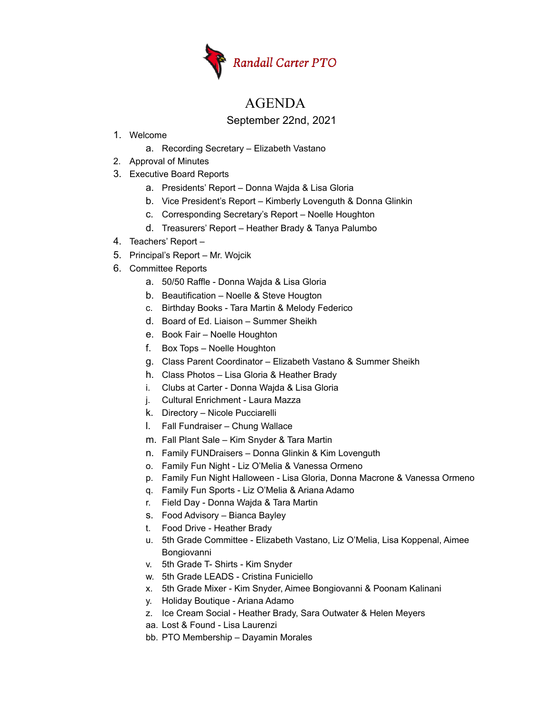

## AGENDA

September 22nd, 2021

- 1. Welcome
	- a. Recording Secretary Elizabeth Vastano
- 2. Approval of Minutes
- 3. Executive Board Reports
	- a. Presidents' Report Donna Wajda & Lisa Gloria
	- b. Vice President's Report Kimberly Lovenguth & Donna Glinkin
	- c. Corresponding Secretary's Report Noelle Houghton
	- d. Treasurers' Report Heather Brady & Tanya Palumbo
- 4. Teachers' Report –
- 5. Principal's Report Mr. Wojcik
- 6. Committee Reports
	- a. 50/50 Raffle Donna Wajda & Lisa Gloria
	- b. Beautification Noelle & Steve Hougton
	- c. Birthday Books Tara Martin & Melody Federico
	- d. Board of Ed. Liaison Summer Sheikh
	- e. Book Fair Noelle Houghton
	- f. Box Tops Noelle Houghton
	- g. Class Parent Coordinator Elizabeth Vastano & Summer Sheikh
	- h. Class Photos Lisa Gloria & Heather Brady
	- i. Clubs at Carter Donna Wajda & Lisa Gloria
	- j. Cultural Enrichment Laura Mazza
	- k. Directory Nicole Pucciarelli
	- l. Fall Fundraiser Chung Wallace
	- m. Fall Plant Sale Kim Snyder & Tara Martin
	- n. Family FUNDraisers Donna Glinkin & Kim Lovenguth
	- o. Family Fun Night Liz O'Melia & Vanessa Ormeno
	- p. Family Fun Night Halloween Lisa Gloria, Donna Macrone & Vanessa Ormeno
	- q. Family Fun Sports Liz O'Melia & Ariana Adamo
	- r. Field Day Donna Wajda & Tara Martin
	- s. Food Advisory Bianca Bayley
	- t. Food Drive Heather Brady
	- u. 5th Grade Committee Elizabeth Vastano, Liz O'Melia, Lisa Koppenal, Aimee Bongiovanni
	- v. 5th Grade T- Shirts Kim Snyder
	- w. 5th Grade LEADS Cristina Funiciello
	- x. 5th Grade Mixer Kim Snyder, Aimee Bongiovanni & Poonam Kalinani
	- y. Holiday Boutique Ariana Adamo
	- z. Ice Cream Social Heather Brady, Sara Outwater & Helen Meyers
	- aa. Lost & Found Lisa Laurenzi
	- bb. PTO Membership Dayamin Morales